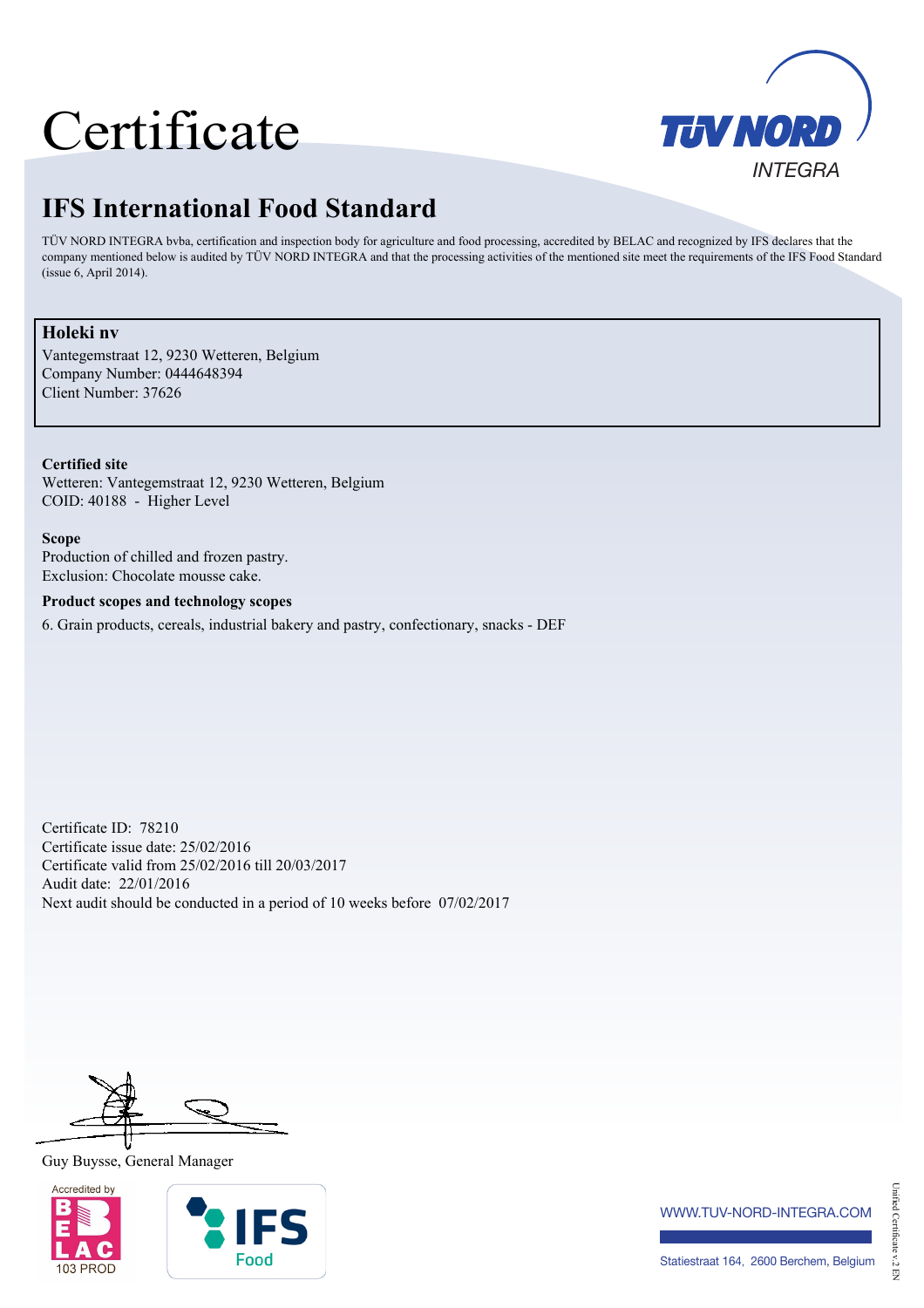# Certificate



# **IFS International Food Standard**

TÜV NORD INTEGRA bvba, certification and inspection body for agriculture and food processing, accredited by BELAC and recognized by IFS declares that the company mentioned below is audited by TÜV NORD INTEGRA and that the processing activities of the mentioned site meet the requirements of the IFS Food Standard (issue 6, April 2014).

## **Holeki nv**

Vantegemstraat 12, 9230 Wetteren, Belgium Company Number: 0444648394 Client Number: 37626

**Certified site** Wetteren: Vantegemstraat 12, 9230 Wetteren, Belgium COID: 40188 - Higher Level

**Scope** Production of chilled and frozen pastry. Exclusion: Chocolate mousse cake.

#### **Product scopes and technology scopes**

6. Grain products, cereals, industrial bakery and pastry, confectionary, snacks - DEF

Certificate ID: 78210 Certificate issue date: 25/02/2016 Certificate valid from 25/02/2016 till 20/03/2017 Audit date: 22/01/2016 Next audit should be conducted in a period of 10 weeks before 07/02/2017

### Guy Buysse, General Manager





www.tuv-nord-integra.com